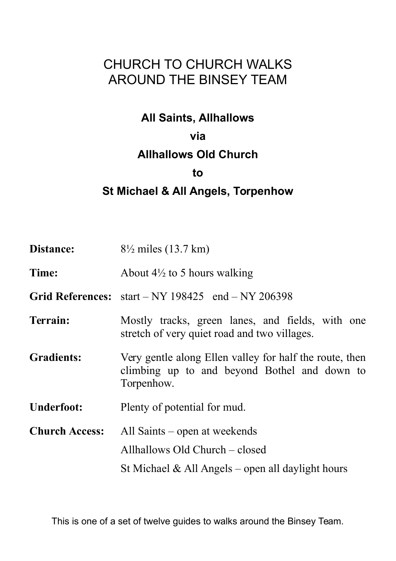# CHURCH TO CHURCH WALKS AROUND THE BINSEY TEAM

## **All Saints, Allhallows**

#### **via**

## **Allhallows Old Church**

#### **to**

## **St Michael & All Angels, Torpenhow**

| Distance:             | $8\frac{1}{2}$ miles (13.7 km)                                                                                          |
|-----------------------|-------------------------------------------------------------------------------------------------------------------------|
| Time:                 | About $4\frac{1}{2}$ to 5 hours walking                                                                                 |
|                       | Grid References: $start - NY 198425$ end $- NY 206398$                                                                  |
| Terrain:              | Mostly tracks, green lanes, and fields, with one<br>stretch of very quiet road and two villages.                        |
| <b>Gradients:</b>     | Very gentle along Ellen valley for half the route, then<br>climbing up to and beyond Bothel and down to<br>Torpenhow.   |
| <b>Underfoot:</b>     | Plenty of potential for mud.                                                                                            |
| <b>Church Access:</b> | All Saints – open at weekends<br>Allhallows Old Church – closed<br>St Michael $\&$ All Angels – open all daylight hours |

This is one of a set of twelve guides to walks around the Binsey Team.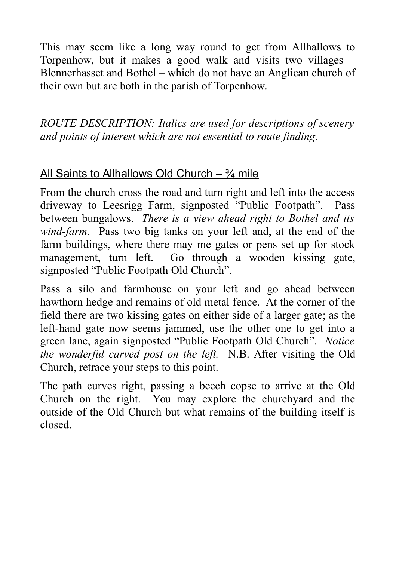This may seem like a long way round to get from Allhallows to Torpenhow, but it makes a good walk and visits two villages – Blennerhasset and Bothel – which do not have an Anglican church of their own but are both in the parish of Torpenhow.

*ROUTE DESCRIPTION: Italics are used for descriptions of scenery and points of interest which are not essential to route finding.*

# All Saints to Allhallows Old Church –  $\frac{3}{4}$  mile

From the church cross the road and turn right and left into the access driveway to Leesrigg Farm, signposted "Public Footpath". Pass between bungalows. *There is a view ahead right to Bothel and its wind-farm.* Pass two big tanks on your left and, at the end of the farm buildings, where there may me gates or pens set up for stock management, turn left. Go through a wooden kissing gate, signposted "Public Footpath Old Church".

Pass a silo and farmhouse on your left and go ahead between hawthorn hedge and remains of old metal fence. At the corner of the field there are two kissing gates on either side of a larger gate; as the left-hand gate now seems jammed, use the other one to get into a green lane, again signposted "Public Footpath Old Church". *Notice the wonderful carved post on the left.* N.B. After visiting the Old Church, retrace your steps to this point.

The path curves right, passing a beech copse to arrive at the Old Church on the right. You may explore the churchyard and the outside of the Old Church but what remains of the building itself is closed.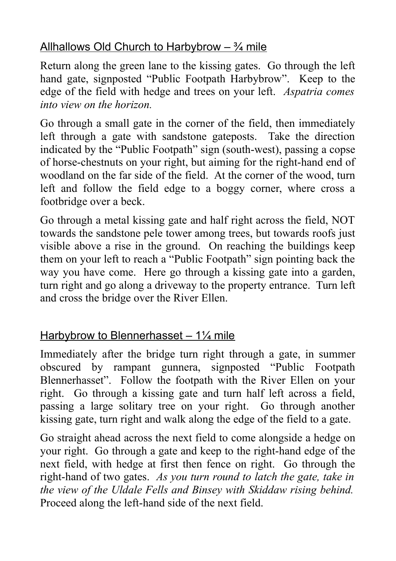# Allhallows Old Church to Harbybrow  $\frac{3}{4}$  mile

Return along the green lane to the kissing gates. Go through the left hand gate, signposted "Public Footpath Harbybrow". Keep to the edge of the field with hedge and trees on your left. *Aspatria comes into view on the horizon.*

Go through a small gate in the corner of the field, then immediately left through a gate with sandstone gateposts. Take the direction indicated by the "Public Footpath" sign (south-west), passing a copse of horse-chestnuts on your right, but aiming for the right-hand end of woodland on the far side of the field. At the corner of the wood, turn left and follow the field edge to a boggy corner, where cross a footbridge over a beck.

Go through a metal kissing gate and half right across the field, NOT towards the sandstone pele tower among trees, but towards roofs just visible above a rise in the ground. On reaching the buildings keep them on your left to reach a "Public Footpath" sign pointing back the way you have come. Here go through a kissing gate into a garden, turn right and go along a driveway to the property entrance. Turn left and cross the bridge over the River Ellen.

# Harbybrow to Blennerhasset  $-1\frac{1}{4}$  mile

Immediately after the bridge turn right through a gate, in summer obscured by rampant gunnera, signposted "Public Footpath Blennerhasset". Follow the footpath with the River Ellen on your right. Go through a kissing gate and turn half left across a field, passing a large solitary tree on your right. Go through another kissing gate, turn right and walk along the edge of the field to a gate.

Go straight ahead across the next field to come alongside a hedge on your right. Go through a gate and keep to the right-hand edge of the next field, with hedge at first then fence on right. Go through the right-hand of two gates. *As you turn round to latch the gate, take in the view of the Uldale Fells and Binsey with Skiddaw rising behind.* Proceed along the left-hand side of the next field.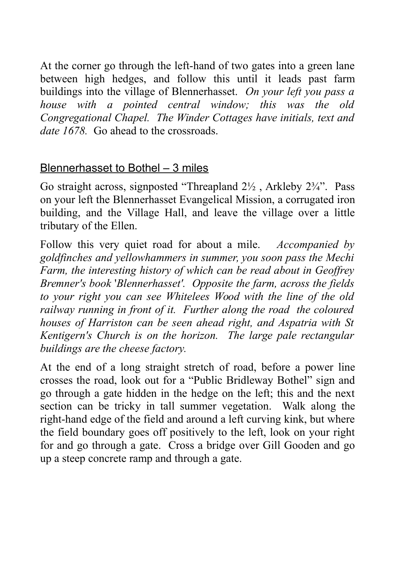At the corner go through the left-hand of two gates into a green lane between high hedges, and follow this until it leads past farm buildings into the village of Blennerhasset. *On your left you pass a house with a pointed central window; this was the old Congregational Chapel. The Winder Cottages have initials, text and date 1678.* Go ahead to the crossroads.

# Blennerhasset to Bothel – 3 miles

Go straight across, signposted "Threapland  $2\frac{1}{2}$ , Arkleby  $2\frac{3}{4}$ ". Pass on your left the Blennerhasset Evangelical Mission, a corrugated iron building, and the Village Hall, and leave the village over a little tributary of the Ellen.

Follow this very quiet road for about a mile. *Accompanied by goldfinches and yellowhammers in summer, you soon pass the Mechi Farm, the interesting history of which can be read about in Geoffrey Bremner's book* '*Blennerhasset'. Opposite the farm, across the fields to your right you can see Whitelees Wood with the line of the old railway running in front of it. Further along the road the coloured houses of Harriston can be seen ahead right, and Aspatria with St Kentigern's Church is on the horizon. The large pale rectangular buildings are the cheese factory.*

At the end of a long straight stretch of road, before a power line crosses the road, look out for a "Public Bridleway Bothel" sign and go through a gate hidden in the hedge on the left; this and the next section can be tricky in tall summer vegetation. Walk along the right-hand edge of the field and around a left curving kink, but where the field boundary goes off positively to the left, look on your right for and go through a gate. Cross a bridge over Gill Gooden and go up a steep concrete ramp and through a gate.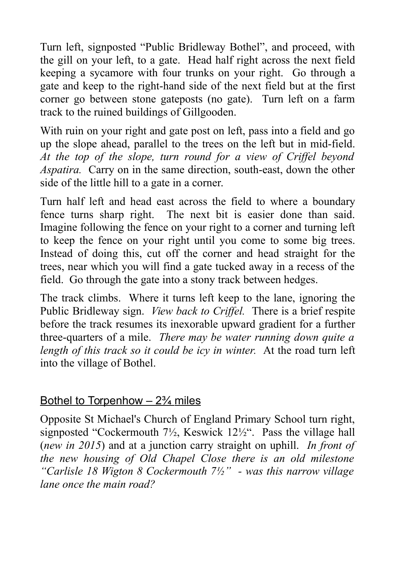Turn left, signposted "Public Bridleway Bothel", and proceed, with the gill on your left, to a gate. Head half right across the next field keeping a sycamore with four trunks on your right. Go through a gate and keep to the right-hand side of the next field but at the first corner go between stone gateposts (no gate). Turn left on a farm track to the ruined buildings of Gillgooden.

With ruin on your right and gate post on left, pass into a field and go up the slope ahead, parallel to the trees on the left but in mid-field. *At the top of the slope, turn round for a view of Criffel beyond Aspatira.* Carry on in the same direction, south-east, down the other side of the little hill to a gate in a corner.

Turn half left and head east across the field to where a boundary fence turns sharp right. The next bit is easier done than said. Imagine following the fence on your right to a corner and turning left to keep the fence on your right until you come to some big trees. Instead of doing this, cut off the corner and head straight for the trees, near which you will find a gate tucked away in a recess of the field. Go through the gate into a stony track between hedges.

The track climbs. Where it turns left keep to the lane, ignoring the Public Bridleway sign. *View back to Criffel.* There is a brief respite before the track resumes its inexorable upward gradient for a further three-quarters of a mile. *There may be water running down quite a length of this track so it could be icy in winter.* At the road turn left into the village of Bothel.

## Bothel to Torpenhow  $-2\frac{3}{4}$  miles

Opposite St Michael's Church of England Primary School turn right, signposted "Cockermouth 7½, Keswick 12½". Pass the village hall (*new in 2015*) and at a junction carry straight on uphill. *In front of the new housing of Old Chapel Close there is an old milestone "Carlisle 18 Wigton 8 Cockermouth 7½" - was this narrow village lane once the main road?*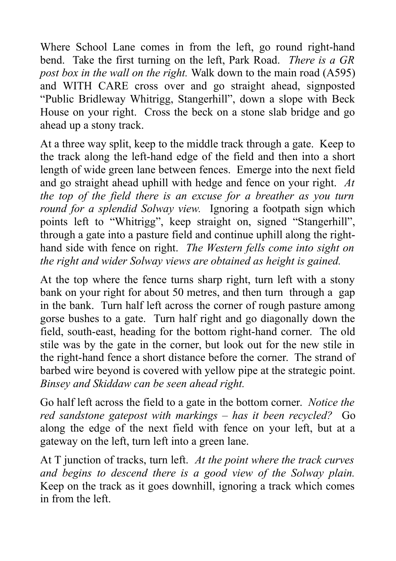Where School Lane comes in from the left, go round right-hand bend. Take the first turning on the left, Park Road. *There is a GR post box in the wall on the right.* Walk down to the main road (A595) and WITH CARE cross over and go straight ahead, signposted "Public Bridleway Whitrigg, Stangerhill", down a slope with Beck House on your right. Cross the beck on a stone slab bridge and go ahead up a stony track.

At a three way split, keep to the middle track through a gate. Keep to the track along the left-hand edge of the field and then into a short length of wide green lane between fences. Emerge into the next field and go straight ahead uphill with hedge and fence on your right. *At the top of the field there is an excuse for a breather as you turn round for a splendid Solway view.* Ignoring a footpath sign which points left to "Whitrigg", keep straight on, signed "Stangerhill", through a gate into a pasture field and continue uphill along the righthand side with fence on right. *The Western fells come into sight on the right and wider Solway views are obtained as height is gained.*

At the top where the fence turns sharp right, turn left with a stony bank on your right for about 50 metres, and then turn through a gap in the bank. Turn half left across the corner of rough pasture among gorse bushes to a gate. Turn half right and go diagonally down the field, south-east, heading for the bottom right-hand corner. The old stile was by the gate in the corner, but look out for the new stile in the right-hand fence a short distance before the corner. The strand of barbed wire beyond is covered with yellow pipe at the strategic point. *Binsey and Skiddaw can be seen ahead right.*

Go half left across the field to a gate in the bottom corner. *Notice the red sandstone gatepost with markings – has it been recycled?* Go along the edge of the next field with fence on your left, but at a gateway on the left, turn left into a green lane.

At T junction of tracks, turn left. *At the point where the track curves and begins to descend there is a good view of the Solway plain.* Keep on the track as it goes downhill, ignoring a track which comes in from the left.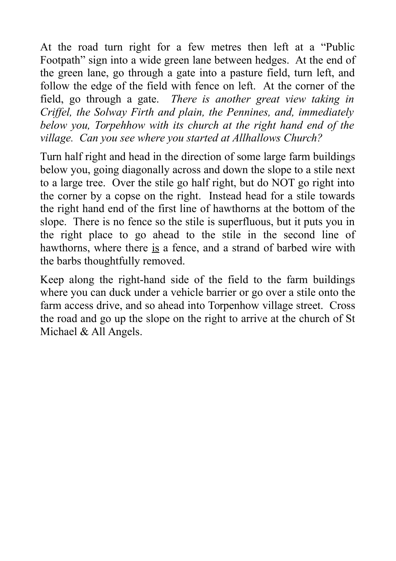At the road turn right for a few metres then left at a "Public Footpath" sign into a wide green lane between hedges. At the end of the green lane, go through a gate into a pasture field, turn left, and follow the edge of the field with fence on left. At the corner of the field, go through a gate. *There is another great view taking in Criffel, the Solway Firth and plain, the Pennines, and, immediately below you, Torpehhow with its church at the right hand end of the village. Can you see where you started at Allhallows Church?*

Turn half right and head in the direction of some large farm buildings below you, going diagonally across and down the slope to a stile next to a large tree. Over the stile go half right, but do NOT go right into the corner by a copse on the right. Instead head for a stile towards the right hand end of the first line of hawthorns at the bottom of the slope. There is no fence so the stile is superfluous, but it puts you in the right place to go ahead to the stile in the second line of hawthorns, where there is a fence, and a strand of barbed wire with the barbs thoughtfully removed.

Keep along the right-hand side of the field to the farm buildings where you can duck under a vehicle barrier or go over a stile onto the farm access drive, and so ahead into Torpenhow village street. Cross the road and go up the slope on the right to arrive at the church of St Michael & All Angels.